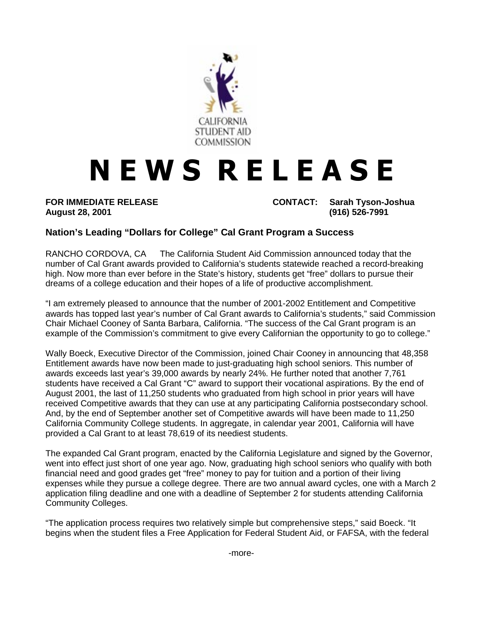

## **NEWS RELEASE**

**FOR IMMEDIATE RELEASE CONTACT: Sarah Tyson-Joshua August 28, 2001 (916) 526-7991**

## **Nation's Leading "Dollars for College" Cal Grant Program a Success**

RANCHO CORDOVA, CA — The California Student Aid Commission announced today that the number of Cal Grant awards provided to California's students statewide reached a record-breaking high. Now more than ever before in the State's history, students get "free" dollars to pursue their dreams of a college education and their hopes of a life of productive accomplishment.

"I am extremely pleased to announce that the number of 2001-2002 Entitlement and Competitive awards has topped last year's number of Cal Grant awards to California's students," said Commission Chair Michael Cooney of Santa Barbara, California. "The success of the Cal Grant program is an example of the Commission's commitment to give every Californian the opportunity to go to college."

Wally Boeck, Executive Director of the Commission, joined Chair Cooney in announcing that 48,358 Entitlement awards have now been made to just-graduating high school seniors. This number of awards exceeds last year's 39,000 awards by nearly 24%. He further noted that another 7,761 students have received a Cal Grant "C" award to support their vocational aspirations. By the end of August 2001, the last of 11,250 students who graduated from high school in prior years will have received Competitive awards that they can use at any participating California postsecondary school. And, by the end of September another set of Competitive awards will have been made to 11,250 California Community College students. In aggregate, in calendar year 2001, California will have provided a Cal Grant to at least 78,619 of its neediest students.

The expanded Cal Grant program, enacted by the California Legislature and signed by the Governor, went into effect just short of one year ago. Now, graduating high school seniors who qualify with both financial need and good grades get "free" money to pay for tuition and a portion of their living expenses while they pursue a college degree. There are two annual award cycles, one with a March 2 application filing deadline and one with a deadline of September 2 for students attending California Community Colleges.

"The application process requires two relatively simple but comprehensive steps," said Boeck. "It begins when the student files a Free Application for Federal Student Aid, or FAFSA, with the federal